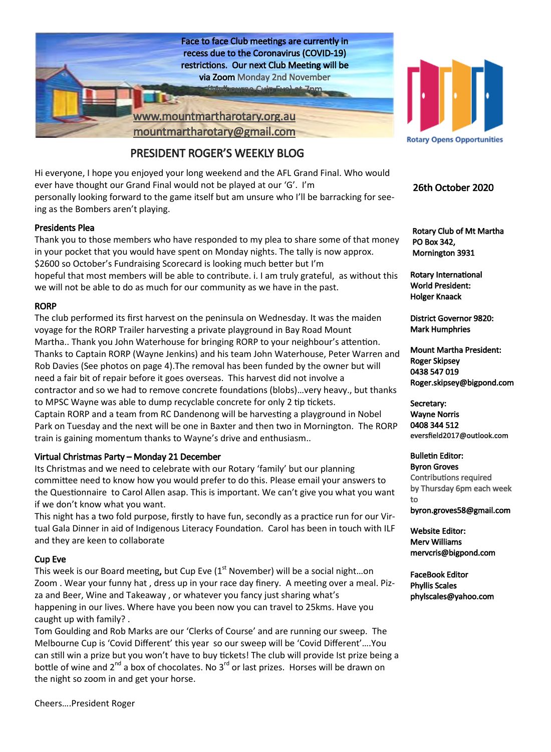

## PRESIDENT ROGER'S WEEKLY BLOG

Hi everyone, I hope you enjoyed your long weekend and the AFL Grand Final. Who would ever have thought our Grand Final would not be played at our 'G'. I'm personally looking forward to the game itself but am unsure who I'll be barracking for seeing as the Bombers aren't playing.

#### Presidents Plea

Thank you to those members who have responded to my plea to share some of that money in your pocket that you would have spent on Monday nights. The tally is now approx. \$2600 so October's Fundraising Scorecard is looking much better but I'm hopeful that most members will be able to contribute. i. I am truly grateful, as without this we will not be able to do as much for our community as we have in the past.

#### RORP

The club performed its first harvest on the peninsula on Wednesday. It was the maiden voyage for the RORP Trailer harvesting a private playground in Bay Road Mount Martha.. Thank you John Waterhouse for bringing RORP to your neighbour's attention. Thanks to Captain RORP (Wayne Jenkins) and his team John Waterhouse, Peter Warren and Rob Davies (See photos on page 4).The removal has been funded by the owner but will need a fair bit of repair before it goes overseas. This harvest did not involve a contractor and so we had to remove concrete foundations (blobs)…very heavy., but thanks to MPSC Wayne was able to dump recyclable concrete for only 2 tip tickets. Captain RORP and a team from RC Dandenong will be harvesting a playground in Nobel Park on Tuesday and the next will be one in Baxter and then two in Mornington. The RORP train is gaining momentum thanks to Wayne's drive and enthusiasm..

#### Virtual Christmas Party – Monday 21 December

Its Christmas and we need to celebrate with our Rotary 'family' but our planning committee need to know how you would prefer to do this. Please email your answers to the Questionnaire to Carol Allen asap. This is important. We can't give you what you want if we don't know what you want.

This night has a two fold purpose, firstly to have fun, secondly as a practice run for our Virtual Gala Dinner in aid of Indigenous Literacy Foundation. Carol has been in touch with ILF and they are keen to collaborate

#### Cup Eve

This week is our Board meeting, but Cup Eve  $(1<sup>st</sup>$  November) will be a social night...on Zoom . Wear your funny hat , dress up in your race day finery. A meeting over a meal. Pizza and Beer, Wine and Takeaway , or whatever you fancy just sharing what's happening in our lives. Where have you been now you can travel to 25kms. Have you caught up with family? .

Tom Goulding and Rob Marks are our 'Clerks of Course' and are running our sweep. The Melbourne Cup is 'Covid Different' this year so our sweep will be 'Covid Different'….You can still win a prize but you won't have to buy tickets! The club will provide Ist prize being a bottle of wine and  $2^{nd}$  a box of chocolates. No  $3^{rd}$  or last prizes. Horses will be drawn on the night so zoom in and get your horse.



**Rotary Opens Opportunities** 

#### 26th October 2020

 Rotary Club of Mt Martha PO Box 342, Mornington 3931

Rotary International World President: Holger Knaack

District Governor 9820: Mark Humphries

Mount Martha President: Roger Skipsey 0438 547 019 Roger.skipsey@bigpond.com

Secretary: Wayne Norris 0408 344 512 eversfield2017@outlook.com

Bulletin Editor: Byron Groves Contributions required by Thursday 6pm each week to byron.groves58@gmail.com

Website Editor: Merv Williams mervcris@bigpond.com

FaceBook Editor Phyllis Scales phylscales@yahoo.com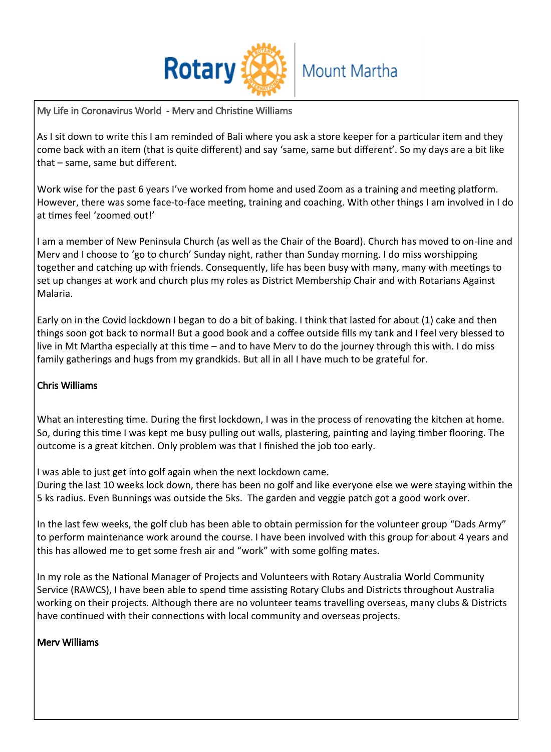

My Life in Coronavirus World - Merv and Christine Williams

As I sit down to write this I am reminded of Bali where you ask a store keeper for a particular item and they come back with an item (that is quite different) and say 'same, same but different'. So my days are a bit like that – same, same but different.

Work wise for the past 6 years I've worked from home and used Zoom as a training and meeting platform. However, there was some face-to-face meeting, training and coaching. With other things I am involved in I do at times feel 'zoomed out!'

I am a member of New Peninsula Church (as well as the Chair of the Board). Church has moved to on-line and Merv and I choose to 'go to church' Sunday night, rather than Sunday morning. I do miss worshipping together and catching up with friends. Consequently, life has been busy with many, many with meetings to set up changes at work and church plus my roles as District Membership Chair and with Rotarians Against Malaria.

Early on in the Covid lockdown I began to do a bit of baking. I think that lasted for about (1) cake and then things soon got back to normal! But a good book and a coffee outside fills my tank and I feel very blessed to live in Mt Martha especially at this time – and to have Merv to do the journey through this with. I do miss family gatherings and hugs from my grandkids. But all in all I have much to be grateful for.

## Chris Williams

What an interesting time. During the first lockdown, I was in the process of renovating the kitchen at home. So, during this time I was kept me busy pulling out walls, plastering, painting and laying timber flooring. The outcome is a great kitchen. Only problem was that I finished the job too early.

I was able to just get into golf again when the next lockdown came.

During the last 10 weeks lock down, there has been no golf and like everyone else we were staying within the 5 ks radius. Even Bunnings was outside the 5ks. The garden and veggie patch got a good work over.

In the last few weeks, the golf club has been able to obtain permission for the volunteer group "Dads Army" to perform maintenance work around the course. I have been involved with this group for about 4 years and this has allowed me to get some fresh air and "work" with some golfing mates.

In my role as the National Manager of Projects and Volunteers with Rotary Australia World Community Service (RAWCS), I have been able to spend time assisting Rotary Clubs and Districts throughout Australia working on their projects. Although there are no volunteer teams travelling overseas, many clubs & Districts have continued with their connections with local community and overseas projects.

## Merv Williams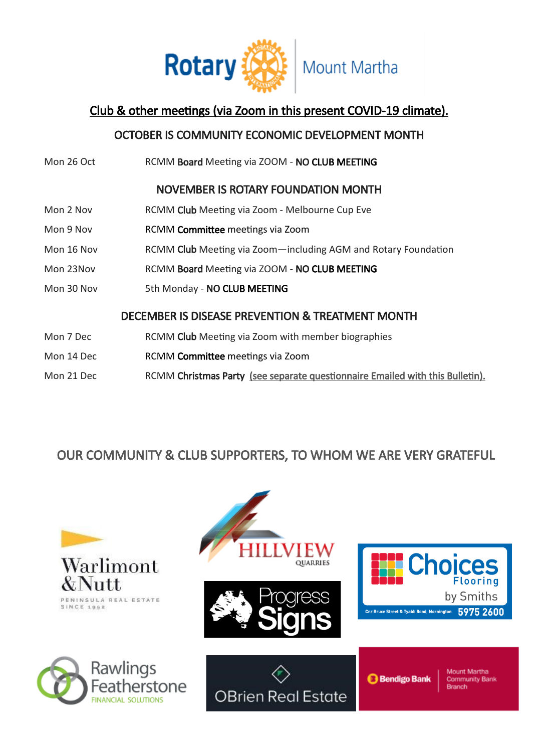

## Club & other meetings (via Zoom in this present COVID-19 climate).

## OCTOBER IS COMMUNITY ECONOMIC DEVELOPMENT MONTH

Mon 26 Oct RCMM Board Meeting via ZOOM - NO CLUB MEETING NOVEMBER IS ROTARY FOUNDATION MONTH Mon 2 Nov RCMM Club Meeting via Zoom - Melbourne Cup Eve Mon 9 Nov RCMM Committee meetings via Zoom Mon 16 Nov RCMM Club Meeting via Zoom—including AGM and Rotary Foundation Mon 23Nov RCMM Board Meeting via ZOOM - NO CLUB MEETING Mon 30 Nov 5th Monday - NO CLUB MEETING DECEMBER IS DISEASE PREVENTION & TREATMENT MONTH Mon 7 Dec RCMM Club Meeting via Zoom with member biographies Mon 14 Dec RCMM Committee meetings via Zoom Mon 21 Dec RCMM Christmas Party (see separate questionnaire Emailed with this Bulletin).

## OUR COMMUNITY & CLUB SUPPORTERS, TO WHOM WE ARE VERY GRATEFUL

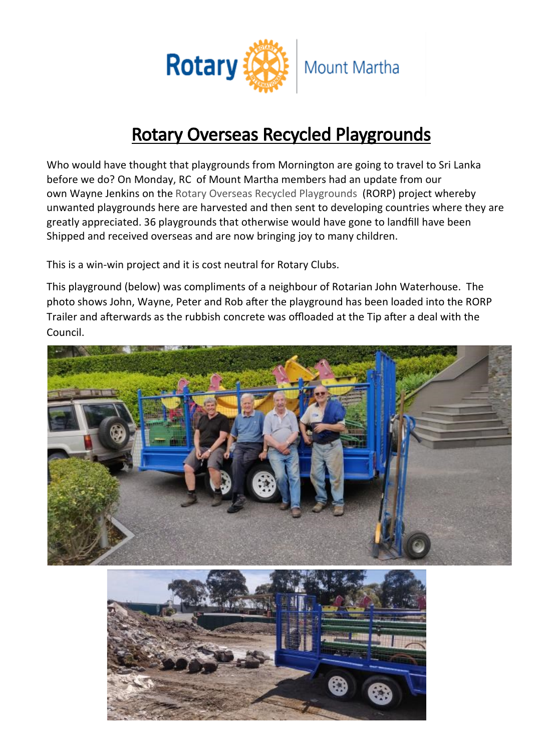

## [Rotary Overseas Recycled Playgrounds](https://www.facebook.com/RORPFlemington/?__cft__%5b0%5d=AZXTNotE6AMjk3e6BXeUE7JucFCUu8nXBI8Oe-1opiNAY5g-0MOg4mCz8bJ9kehQRn-khxwzWdmJU7SsoVUBAH9xjzPx6JqgE6Iivit-h4E6-aLMsMGy1jC6_tAELKMYLmz2x-GoaBaDS6Wsb_T-W5sOV08_4YBYo2O6HS2ZSFwgLnvKLsbMZiss0AvharhnW9o&__tn__=)

Who would have thought that playgrounds from Mornington are going to travel to Sri Lanka before we do? On Monday, RC of Mount Martha members had an update from our own Wayne Jenkins on the [Rotary Overseas Recycled Playgrounds \(RORP\) project whereby](https://www.facebook.com/RORPFlemington/?__cft__%5b0%5d=AZXTNotE6AMjk3e6BXeUE7JucFCUu8nXBI8Oe-1opiNAY5g-0MOg4mCz8bJ9kehQRn-khxwzWdmJU7SsoVUBAH9xjzPx6JqgE6Iivit-h4E6-aLMsMGy1jC6_tAELKMYLmz2x-GoaBaDS6Wsb_T-W5sOV08_4YBYo2O6HS2ZSFwgLnvKLsbMZiss0AvharhnW9o&__tn__=)  unwanted playgrounds here are harvested and then sent to developing countries where they are greatly appreciated. 36 playgrounds that otherwise would have gone to landfill have been Shipped and received overseas and are now bringing joy to many children.

This is a win-win project and it is cost neutral for Rotary Clubs.

This playground (below) was compliments of a neighbour of Rotarian John Waterhouse. The photo shows John, Wayne, Peter and Rob after the playground has been loaded into the RORP Trailer and afterwards as the rubbish concrete was offloaded at the Tip after a deal with the Council.



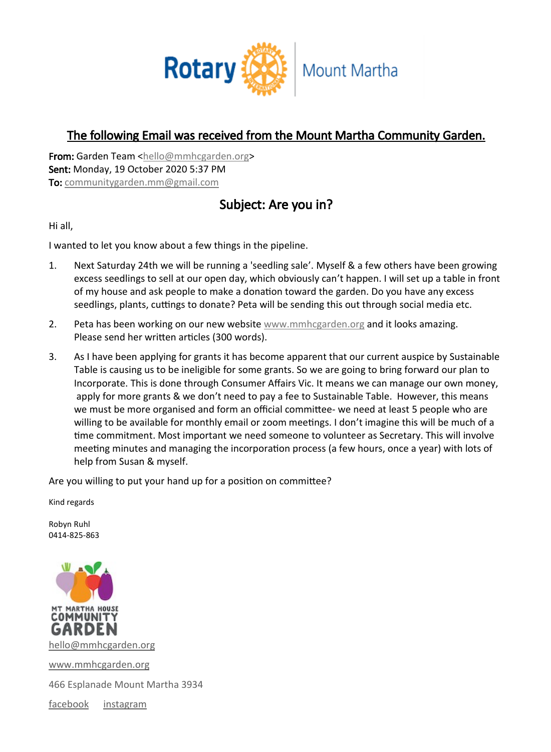

## The following Email was received from the Mount Martha Community Garden.

From: Garden Team [<hello@mmhcgarden.org>](mailto:hello@mmhcgarden.org) Sent: Monday, 19 October 2020 5:37 PM To: [communitygarden.mm@gmail.com](mailto:communitygarden.mm@gmail.com)

## Subject: Are you in?

Hi all,

I wanted to let you know about a few things in the pipeline.

- 1. Next Saturday 24th we will be running a 'seedling sale'. Myself & a few others have been growing excess seedlings to sell at our open day, which obviously can't happen. I will set up a table in front of my house and ask people to make a donation toward the garden. Do you have any excess seedlings, plants, cuttings to donate? Peta will be sending this out through social media etc.
- 2. Peta has been working on our new website [www.mmhcgarden.org](http://www.mmhcgarden.org/) and it looks amazing. Please send her written articles (300 words).
- 3. As I have been applying for grants it has become apparent that our current auspice by Sustainable Table is causing us to be ineligible for some grants. So we are going to bring forward our plan to Incorporate. This is done through Consumer Affairs Vic. It means we can manage our own money, apply for more grants & we don't need to pay a fee to Sustainable Table. However, this means we must be more organised and form an official committee- we need at least 5 people who are willing to be available for monthly email or zoom meetings. I don't imagine this will be much of a time commitment. Most important we need someone to volunteer as Secretary. This will involve meeting minutes and managing the incorporation process (a few hours, once a year) with lots of help from Susan & myself.

Are you willing to put your hand up for a position on committee?

Kind regards

Robyn Ruhl 0414-825-863



[www.mmhcgarden.org](http://www.mmhcgarden.org/)

466 Esplanade Mount Martha 3934

[facebook](https://www.facebook.com/mountmarthahousecommunitygarden) [instagram](https://www.instagram.com/mtmarthahcommunitygarden)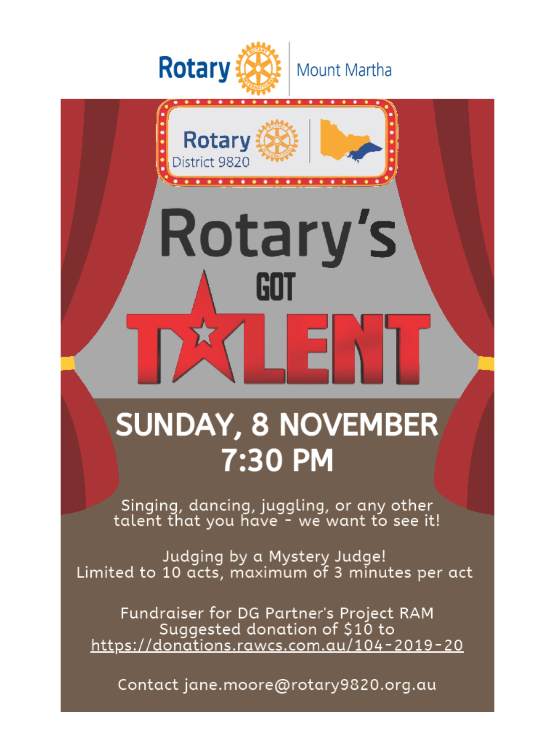

. . . . . . . . . . . . . . . .

Rotary's

Rotary

District 9820

# **SUNDAY, 8 NOVEMBER** 7:30 PM

<u>s Filippo </u>

Singing, dancing, juggling, or any other<br>talent that you have - we want to see it!

Judging by a Mystery Judge! Limited to 10 acts, maximum of 3 minutes per act

Fundraiser for DG Partner's Project RAM Suggested donation of \$10 to https://donations.rawcs.com.au/104-2019-20

Contact jane.moore@rotary9820.org.au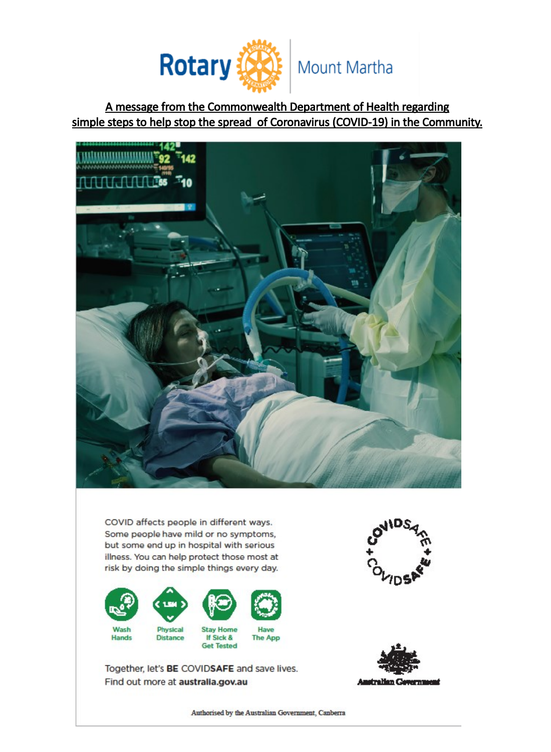

A message from the Commonwealth Department of Health regarding simple steps to help stop the spread of Coronavirus (COVID-19) in the Community.



COVID affects people in different ways. Some people have mild or no symptoms, but some end up in hospital with serious illness. You can help protect those most at risk by doing the simple things every day.



Together, let's BE COVIDSAFE and save lives. Find out more at australia.gov.au





Authorised by the Australian Government, Canberra